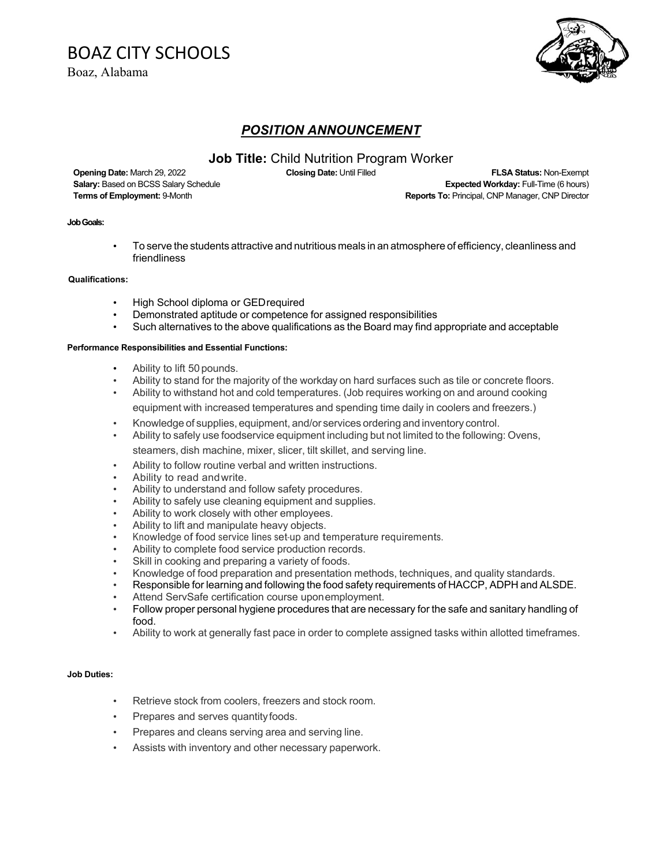# BOAZ CITY SCHOOLS

Boaz, Alabama



## *POSITION ANNOUNCEMENT*

## **Job Title:** Child Nutrition Program Worker

**Opening Date:** March 29, 2022 **Closing Date:** Until Filled **FLSA Status:** Non-Exempt **Salary:** Based on BCSS Salary Schedule **Expected Workday:** Full-Time (6 hours) **Terms of Employment:** 9-Month **Reports To: Principal, CNP Manager, CNP Director Reports To: Principal, CNP Manager, CNP Director** 

#### **Job Goals:**

• To serve the students attractive and nutritious meals in an atmosphere of efficiency, cleanliness and friendliness

#### **Qualifications:**

- High School diploma or GEDrequired
- Demonstrated aptitude or competence for assigned responsibilities
- Such alternatives to the above qualifications as the Board may find appropriate and acceptable

#### **Performance Responsibilities and Essential Functions:**

- Ability to lift 50 pounds.
- Ability to stand for the majority of the workday on hard surfaces such as tile or concrete floors.
- Ability to withstand hot and cold temperatures. (Job requires working on and around cooking equipment with increased temperatures and spending time daily in coolers and freezers.)
- Knowledge of supplies, equipment, and/or services ordering and inventory control.
- Ability to safely use foodservice equipment including but not limited to the following: Ovens, steamers, dish machine, mixer, slicer, tilt skillet, and serving line.
	- Ability to follow routine verbal and written instructions.
- Ability to read and write.
- Ability to understand and follow safety procedures.
- Ability to safely use cleaning equipment and supplies.
- Ability to work closely with other employees.
- Ability to lift and manipulate heavy objects.
- Knowledge of food service lines set-up and temperature requirements.
- Ability to complete food service production records.
- Skill in cooking and preparing a variety of foods.
- Knowledge of food preparation and presentation methods, techniques, and quality standards.
- Responsible for learning and following the food safety requirements of HACCP, ADPH and ALSDE.
- Attend ServSafe certification course uponemployment.
- Follow proper personal hygiene procedures that are necessary for the safe and sanitary handling of food.
- Ability to work at generally fast pace in order to complete assigned tasks within allotted timeframes.

#### **Job Duties:**

- Retrieve stock from coolers, freezers and stock room.
- Prepares and serves quantity foods.
- Prepares and cleans serving area and serving line.
- Assists with inventory and other necessary paperwork.